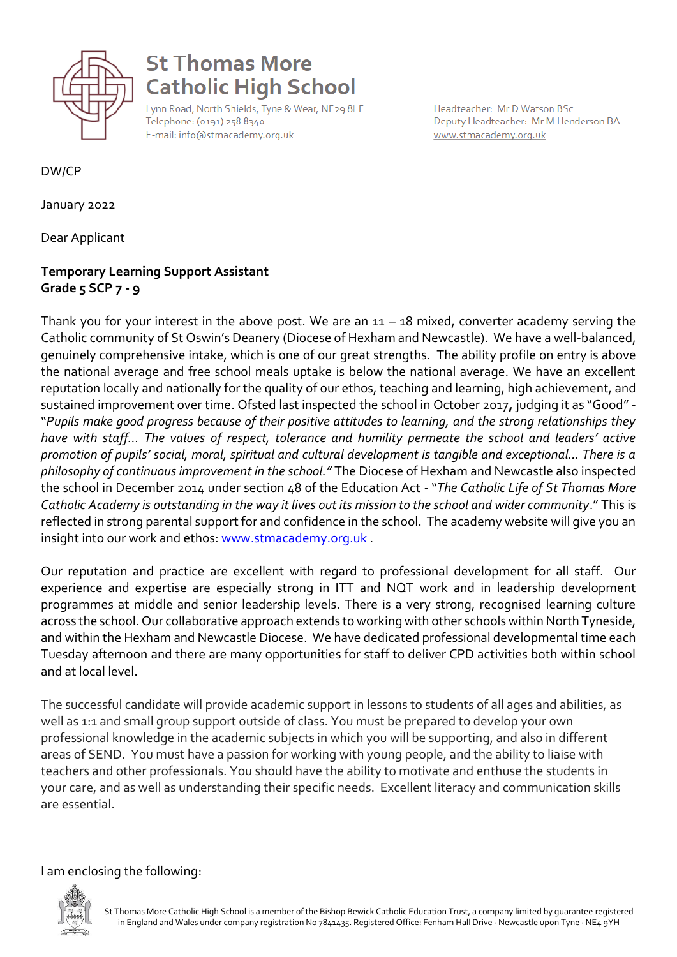

## **St Thomas More Catholic High School**

Lynn Road, North Shields, Tyne & Wear, NE29 8LF Telephone: (0191) 258 8340 E-mail: info@stmacademy.org.uk

Headteacher: Mr D Watson BSc Deputy Headteacher: Mr M Henderson BA www.stmacademy.org.uk

DW/CP

January 2022

Dear Applicant

## **Temporary Learning Support Assistant Grade 5 SCP 7 - 9**

Thank you for your interest in the above post. We are an  $11 - 18$  mixed, converter academy serving the Catholic community of St Oswin's Deanery (Diocese of Hexham and Newcastle). We have a well-balanced, genuinely comprehensive intake, which is one of our great strengths. The ability profile on entry is above the national average and free school meals uptake is below the national average. We have an excellent reputation locally and nationally for the quality of our ethos, teaching and learning, high achievement, and sustained improvement over time. Ofsted last inspected the school in October 2017**,** judging it as "Good" - "*Pupils make good progress because of their positive attitudes to learning, and the strong relationships they have with staff… The values of respect, tolerance and humility permeate the school and leaders' active promotion of pupils' social, moral, spiritual and cultural development is tangible and exceptional… There is a philosophy of continuous improvement in the school."* The Diocese of Hexham and Newcastle also inspected the school in December 2014 under section 48 of the Education Act - "*The Catholic Life of St Thomas More Catholic Academy is outstanding in the way it lives out its mission to the school and wider community*." This is reflected in strong parental support for and confidence in the school. The academy website will give you an insight into our work and ethos: [www.stmacademy.org.uk](http://www.stmacademy.org.uk/).

Our reputation and practice are excellent with regard to professional development for all staff. Our experience and expertise are especially strong in ITT and NQT work and in leadership development programmes at middle and senior leadership levels. There is a very strong, recognised learning culture across the school. Our collaborative approach extends to working with other schools within North Tyneside, and within the Hexham and Newcastle Diocese. We have dedicated professional developmental time each Tuesday afternoon and there are many opportunities for staff to deliver CPD activities both within school and at local level.

The successful candidate will provide academic support in lessons to students of all ages and abilities, as well as 1:1 and small group support outside of class. You must be prepared to develop your own professional knowledge in the academic subjects in which you will be supporting, and also in different areas of SEND. You must have a passion for working with young people, and the ability to liaise with teachers and other professionals. You should have the ability to motivate and enthuse the students in your care, and as well as understanding their specific needs. Excellent literacy and communication skills are essential.

I am enclosing the following:

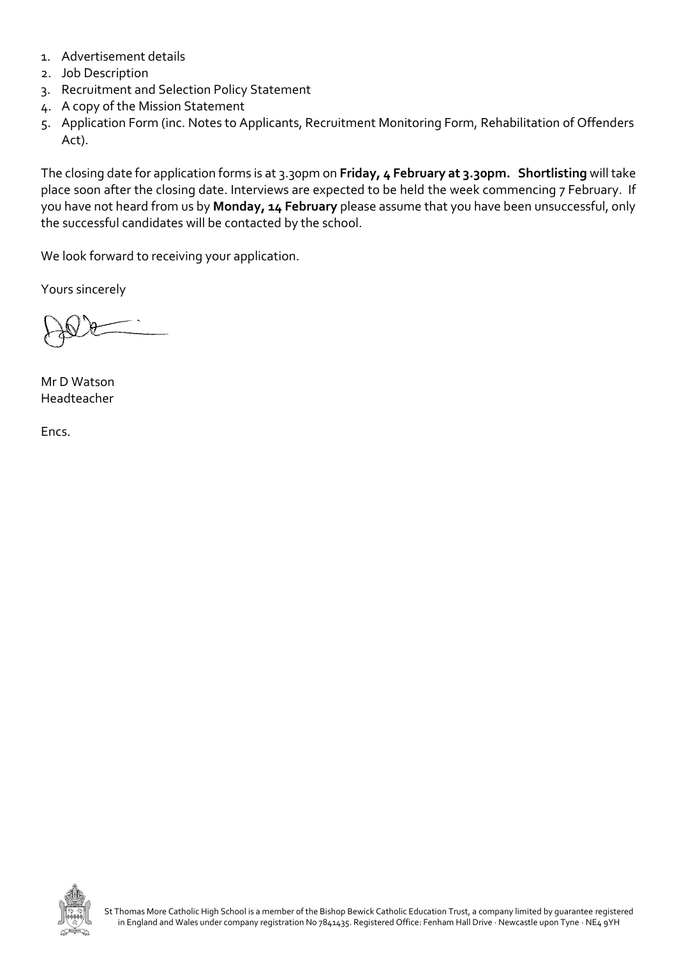- 1. Advertisement details
- 2. Job Description
- 3. Recruitment and Selection Policy Statement
- 4. A copy of the Mission Statement
- 5. Application Form (inc. Notes to Applicants, Recruitment Monitoring Form, Rehabilitation of Offenders Act).

The closing date for application forms is at 3.30pm on **Friday, 4 February at 3.30pm. Shortlisting** will take place soon after the closing date. Interviews are expected to be held the week commencing 7 February. If you have not heard from us by **Monday, 14 February** please assume that you have been unsuccessful, only the successful candidates will be contacted by the school.

We look forward to receiving your application.

Yours sincerely

Mr D Watson Headteacher

Encs.